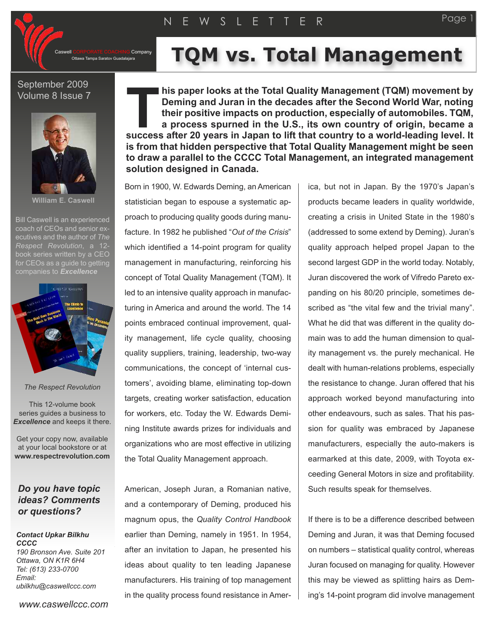CORPORATE COACHING Company<br>Ottawa Tampa Saratov Guadalajara

# **TQM** vs. Total Management

## September 2009 Volume 8 Issue 7



**William E. Caswell**

Bill Caswell is an experienced coach of CEOs and senior executives and the author of *The Respect Revolution*, a 12 book series written by a CEO for CEOs as a quide to getting



*The Respect Revolution*

This 12-volume book series guides a business to *Excellence* and keeps it there.

Get your copy now, available at your local bookstore or at **www.respectrevolution.com**

## *Do you have topic ideas? Comments or questions?*

*Contact Upkar Bilkhu CCCC 190 Bronson Ave. Suite 201 Ottawa, ON K1R 6H4 Tel: (613) 233-0700 Email: ubilkhu@caswellccc.com*

*www.caswellccc.com*

**his paper looks at the Total Quality Management (TQM) movement by Deming and Juran in the decades after the Second World War, noting their positive impacts on production, especially of automobiles. TQM, a process spurned in the U.S., its own country of origin, became a success** after the Second World War, noting<br> **EXECUTE:** Deming and Juran in the decades after the Second World War, noting<br>
their positive impacts on production, especially of automobiles. TQM,<br>
a process spurned in the U **is from that hidden perspective that Total Quality Management might be seen to draw a parallel to the CCCC Total Management, an integrated management solution designed in Canada.**

Born in 1900, W. Edwards Deming, an American statistician began to espouse a systematic approach to producing quality goods during manufacture. In 1982 he published "*Out of the Crisis*" which identified a 14-point program for quality management in manufacturing, reinforcing his concept of Total Quality Management (TQM). It led to an intensive quality approach in manufacturing in America and around the world. The 14 points embraced continual improvement, quality management, life cycle quality, choosing quality suppliers, training, leadership, two-way communications, the concept of 'internal customers', avoiding blame, eliminating top-down targets, creating worker satisfaction, education for workers, etc. Today the W. Edwards Demining Institute awards prizes for individuals and organizations who are most effective in utilizing the Total Quality Management approach.

American, Joseph Juran, a Romanian native, and a contemporary of Deming, produced his magnum opus, the *Quality Control Handbook* earlier than Deming, namely in 1951. In 1954, after an invitation to Japan, he presented his ideas about quality to ten leading Japanese manufacturers. His training of top management in the quality process found resistance in America, but not in Japan. By the 1970's Japan's products became leaders in quality worldwide, creating a crisis in United State in the 1980's (addressed to some extend by Deming). Juran's quality approach helped propel Japan to the second largest GDP in the world today. Notably, Juran discovered the work of Vifredo Pareto expanding on his 80/20 principle, sometimes described as "the vital few and the trivial many". What he did that was different in the quality domain was to add the human dimension to quality management vs. the purely mechanical. He dealt with human-relations problems, especially the resistance to change. Juran offered that his approach worked beyond manufacturing into other endeavours, such as sales. That his passion for quality was embraced by Japanese manufacturers, especially the auto-makers is earmarked at this date, 2009, with Toyota exceeding General Motors in size and profitability. Such results speak for themselves.

If there is to be a difference described between Deming and Juran, it was that Deming focused on numbers – statistical quality control, whereas Juran focused on managing for quality. However this may be viewed as splitting hairs as Deming's 14-point program did involve management